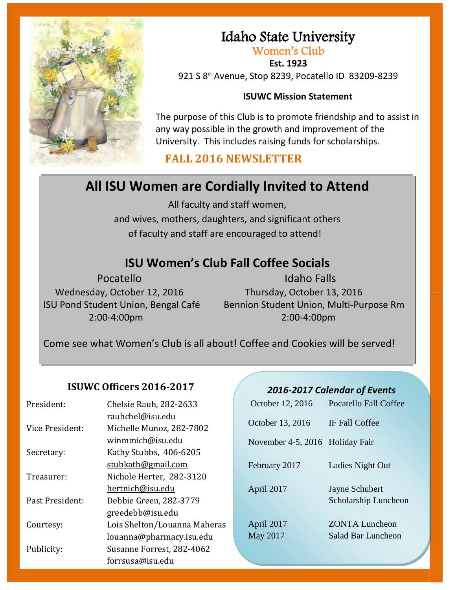

## Idaho State University

Women's Club

**Est. 1923** 921 S 8th Avenue, Stop 8239, Pocatello ID 83209-8239

#### **ISUWC Mission Statement**

The purpose of this Club is to promote friendship and to assist in any way possible in the growth and improvement of the University. This includes raising funds for scholarships.

#### **FALL 2016 NEWSLETTER**

## **All ISU Women are Cordially Invited to Attend**

All faculty and staff women, and wives, mothers, daughters, and significant others of faculty and staff are encouraged to attend!

### **ISU Women's Club Fall Coffee Socials**

Wednesday, October 12, 2016 Thursday, October 13, 2016

Pocatello Idaho Falls ISU Pond Student Union, Bengal Café Bennion Student Union, Multi-Purpose Rm 2:00-4:00pm 2:00-4:00pm

Come see what Women's Club is all about! Coffee and Cookies will be served!

#### **ISUWC Officers 2016-2017**

| President:      | Chelsie Rauh, 282-2633                       | October 12, 2016                | <b>Pocatello Fall Coffee</b> |
|-----------------|----------------------------------------------|---------------------------------|------------------------------|
| Vice President: | rauhchel@isu.edu<br>Michelle Munoz, 282-7802 | October 13, 2016                | IF Fall Coffee               |
|                 | winmmich@isu.edu                             | November 4-5, 2016 Holiday Fair |                              |
| Secretary:      | Kathy Stubbs, 406-6205                       |                                 |                              |
|                 | stubkath@gmail.com                           | February 2017                   | Ladies Night Out             |
| Treasurer:      | Nichole Herter, 282-3120                     |                                 |                              |
|                 | hertnich@isu.edu                             | April 2017                      | Jayne Schubert               |
| Past President: | Debbie Green, 282-3779                       |                                 | Scholarship Luncheon         |
|                 | greedebb@isu.edu                             |                                 |                              |
| Courtesy:       | Lois Shelton/Louanna Maheras                 | April 2017                      | <b>ZONTA Luncheon</b>        |
|                 | louanna@pharmacy.isu.edu                     | May 2017                        | Salad Bar Luncheon           |
| Publicity:      | Susanne Forrest, 282-4062                    |                                 |                              |
|                 | forrsusa@isu.edu                             |                                 |                              |

#### *2016-2017 Calendar of Events*